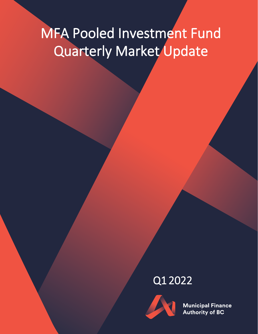# MFA Pooled Investment Fund Quarterly Market Update

## Q1 2022



**Municipal Finance Authority of BC**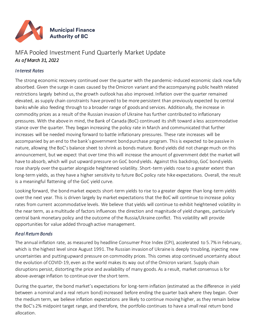

### MFA Pooled Investment Fund Quarterly Market Update *As of March 31, 2022*

#### *Interest Rates*

The strong economic recovery continued over the quarter with the pandemic-induced economic slack now fully absorbed. Given the surge in cases caused by the Omicron variant and the accompanying public health related restrictions largely behind us, the growth outlook has also improved. Inflation over the quarter remained elevated, as supply chain constraints have proved to be more persistent than previously expected by central banks while also feeding through to a broader range of goods and services. Additionally, the increase in commodity prices as a result of the Russian invasion of Ukraine has further contributed to inflationary pressures. With the above in mind, the Bank of Canada (BoC) continued its shift toward a less accommodative stance over the quarter. They began increasing the policy rate in March and communicated that further increases will be needed moving forward to battle inflationary pressures. These rate increases will be accompanied by an end to the bank's government bond purchase program. This is expected to be passive in nature, allowing the BoC's balance sheet to shrink as bonds mature. Bond yields did not change much on this announcement, but we expect that over time this will increase the amount of government debt the market will have to absorb, which will put upward pressure on GoC bond yields. Against this backdrop, GoC bond yields rose sharply over the quarter alongside heightened volatility. Short-term yields rose to a greater extent than long-term yields, as they have a higher sensitivity to future BoC policy rate hike expectations. Overall, the result is a meaningful flattening of the GoC yield curve.

Looking forward, the bond market expects short-term yields to rise to a greater degree than long-term yields over the next year. This is driven largely by market expectations that the BoC will continue to increase policy rates from current accommodative levels. We believe that yields will continue to exhibit heightened volatility in the near term, as a multitude of factors influences the direction and magnitude of yield changes, particularly central bank monetary policy and the outcome of the Russia/Ukraine conflict. This volatility will provide opportunities for value added through active management.

#### *Real Return Bonds*

The annual inflation rate, as measured by headline Consumer Price Index (CPI), accelerated to 5.7% in February, which is the highest level since August 1991. The Russian invasion of Ukraine is deeply troubling, injecting new uncertainties and putting upward pressure on commodity prices. This comes atop continued uncertainty about the evolution of COVID-19, even as the world makes its way out of the Omicron variant. Supply chain disruptions persist, distorting the price and availability of many goods. As a result, market consensus is for above-average inflation to continue over the short term.

During the quarter, the bond market's expectations for long-term inflation (estimated as the difference in yield between a nominal and a real return bond) increased before ending the quarter back where they began. Over the medium term, we believe inflation expectations are likely to continue moving higher, as they remain below the BoC's 2% midpoint target range, and therefore, the portfolio continues to have a small real return bond allocation.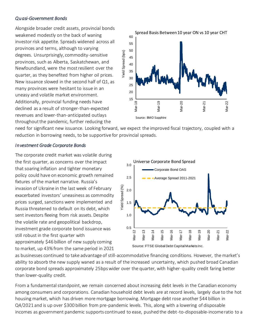#### *Quasi-Government Bonds*

Alongside broader credit assets, provincial bonds weakened modestly on the back of waning investor risk appetite. Spreads widened across all provinces and terms, although to varying degrees. Unsurprisingly, commodity-sensitive provinces, such as Alberta, Saskatchewan, and Newfoundland, were the most resilient over the quarter, as they benefited from higher oil prices. New issuance slowed in the second half of Q1, as many provinces were hesitant to issue in an uneasy and volatile market environment. Additionally, provincial funding needs have declined as a result of stronger-than-expected revenues and lower-than-anticipated outlays throughout the pandemic, further reducing the



need for significant new issuance. Looking forward, we expect the improved fiscal trajectory, coupled with a reduction in borrowing needs, to be supportive for provincial spreads.

#### *Investment Grade Corporate Bonds*

The corporate credit market was volatile during the first quarter, as concerns over the impact that soaring inflation and tighter monetary policy could have on economic growth remained fixtures of the market narrative. Russia's invasion of Ukraine in the last week of February exacerbated investors' uneasiness as commodity prices surged, sanctions were implemented and Russia threatened to default on its debt, which sent investors fleeing from risk assets. Despite the volatile rate and geopolitical backdrop, investment grade corporate bond issuance was still robust in the first quarter with approximately \$46 billion of new supply coming to market, up 43% from the same period in 2021



as businesses continued to take advantage of still-accommodative financing conditions. However, the market's ability to absorb the new supply waned as a result of the increased uncertainty, which pushed broad Canadian corporate bond spreads approximately 25bps wider over the quarter, with higher-quality credit faring better than lower-quality credit.

From a fundamental standpoint, we remain concerned about increasing debt levels in the Canadian economy among consumers and corporations. Canadian household debt levels are at record levels, largely due to the hot housing market, which has driven more mortgage borrowing. Mortgage debt rose another \$44 billion in Q4/2021 and is up over \$300 billion from pre-pandemic levels. This, along with a lowering of disposable incomes as government pandemic supports continued to ease, pushed the debt-to-disposable-income ratio to a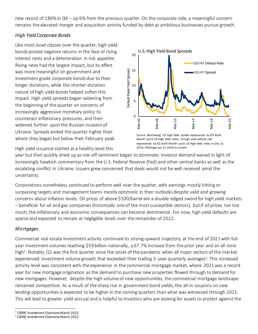new record of 186% in Q4 – up 6% from the previous quarter. On the corporate side, a meaningful concern remains the elevated merger and acquisition activity funded by debt as ambitious businesses pursue growth.

#### *High Yield Corporate Bonds*

Like most asset classes over the quarter, high yield bonds posted negative returns in the face of rising interest rates and a deterioration in risk appetite. Rising rates had the largest impact, but its effect was more meaningful on government and investment grade corporate bonds due to their longer durations, while the shorter-duration nature of high yield bonds helped soften this impact. High yield spreads began widening from the beginning of the quarter on concerns of increasingly aggressive monetary policy to counteract inflationary pressures, and then widened further upon the Russian invasion of Ukraine. Spreads ended the quarter higher than where they began but below their February peak.



Source: Bloomberg. US High Yield spread represented by ICE BofA Merrill Lynch US High Yield index. US high yield default rate represented by ICE BofA Merrill Lynch US High Yield index to Dec 31 2019, JPMorgan Jan 31 2020 to current

High yield issuance started at a healthy level this

year but then quickly dried up as risk-off sentiment began to dominate. Investor demand waned in light of increasingly hawkish commentary from the U.S. Federal Reserve (Fed) and other central banks as well as the escalating conflict in Ukraine. Issuers grew concerned that deals would not be well received amid the uncertainty.

Corporations nonetheless continued to perform well over the quarter, with earnings mostly hitting or surpassing targets and management teams mostly optimistic in their outlooks despite valid and growing concerns about inflation levels. Oil prices of above \$100/barrel are a double-edged sword for high yield markets – beneficial for oil and gas companies (historically one of the most susceptible sectors); but if oil prices rise too much, the inflationary and economic consequences can become detrimental. For now, high yield defaults are sparse and expected to remain at negligible levels over the remainder of 2022.

#### *Mortgages*

Commercial real estate investment activity continued its strong upward trajectory at the end of 2021 with fullyear investment volumes reaching \$59 billion nationally, a 67.7% increase from the prior year and an all-time high<sup>1</sup>. Notably, Q1 was the first quarter since the onset of the pandemic when all major sectors of the market experienced investment volume growth that exceeded their trailing 3-year quarterly averages<sup>2</sup>. This increased activity level was consistent with the experience in the commercial mortgage market, where 2021 was a record year for new mortgage origination as the demand to purchase new properties flowed through to demand for new mortgages. However, despite the high volume of new opportunities, the commercial mortgage landscape remained competitive. As a result of the sharp rise in government bond yields, the all-in coupons on new lending opportunities is expected to be higher in the coming quarters than what was witnessed through 2021. This will lead to greater yield accrual and is helpful to investors who are looking for assets to protect against the

 $\overline{a}$ <sup>1</sup> CBRE Investment Overview March 2022

<sup>2</sup> CBRE Investment Overview March 2022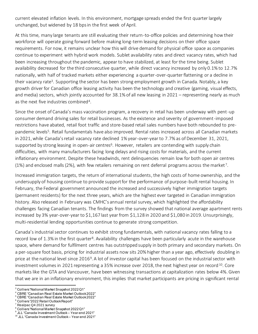current elevated inflation levels. In this environment, mortgage spreads ended the first quarter largely unchanged, but widened by 18 bps in the first week of April.

At this time, many large tenants are still evaluating their return-to-office policies and determining how their workforce will operate going forward before making long-term leasing decisions on their office space requirements. For now, it remains unclear how this will drive demand for physical office space as companies continue to experiment with hybrid work models. Sublet availability rates and direct vacancy rates, which had been increasing throughout the pandemic, appear to have stabilized, at least for the time being. Sublet availability decreased for the third consecutive quarter, while direct vacancy increased by only 0.1% to 12.7% nationally, with half of tracked markets either experiencing a quarter-over-quarter flattening or a decline in their vacancy rate<sup>3</sup>. Supporting the sector has been strong employment growth in Canada. Notably, a key growth driver for Canadian office leasing activity has been the technology and creative (gaming, visual effects, and media) sectors, which jointly accounted for 38.1% of all new leasing in 2021 – representing nearly as much as the next five industries combined<sup>4</sup>.

Since the onset of Canada's mass vaccination program, a recovery in retail has been underway with pent-up consumer demand driving sales for retail businesses. As the existence and severity of government-imposed restrictions have abated, retail foot traffic and store-based retail sales numbers have both rebounded to prepandemic levels<sup>5</sup>. Retail fundamentals have also improved. Rental rates increased across all Canadian markets in 2021, while Canada's retail vacancy rate declined 1% year-over-year to 7.7% as of December 31, 2021, supported by strong leasing in open-air centres<sup>6</sup>. However, retailers are contending with supply chain difficulties, with many manufacturers facing long delays and rising costs for materials, and the current inflationary environment. Despite these headwinds, rent delinquencies remain low for both open air centres (1%) and enclosed malls (2%), with few retailers remaining on rent deferral programs across the market <sup>7</sup> .

Increased immigration targets, the return of international students, the high costs of home ownership, and the undersupply of housing continue to provide support for the performance of purpose-built rental housing. In February, the Federal government announced the increased and successively higher immigration targets (permanent residents) for the next three years, which are the highest ever targeted in Canadian immigration history. Also released in February was CMHC's annual rental survey, which highlighted the affordability challenges facing Canadian tenants. The findings from the survey showed that national average apartment rents increased by 3% year-over-year to \$1,167 last year from \$1,128 in 2020 and \$1,080 in 2019. Unsurprisingly, multi-residential lending opportunities continue to generate strong competition.

Canada's industrial sector continues to exhibit strong fundamentals, with national vacancy rates falling to a record low of 1.3% in the first quarter<sup>8</sup>. Availability challenges have been particularly acute in the warehouse space, where demand for fulfilment centres has outstripped supply in both primary and secondary markets. On a per-square foot basis, pricing for industrial assets now sits 20% higher than a year ago, effectively doubling in price at the national level since 2016<sup>9</sup>. A lot of investor capital has been focused on the industrial sector with investment volumes in 2021 representing a 35% increase over 2018, the next highest year on record<sup>10</sup>. Core markets like the GTA and Vancouver, have been witnessing transactions at capitalization rates below 4%. Given that we are in an inflationary environment, this implies that market participants are pricing in significant rental

 $\overline{a}$  $^3$  Colliers "National Market Snapshot 2022 Q1"

<sup>4</sup> CBRE "Canadian Real Estate Market Outlook 2022"

<sup>5</sup> CBRE "Canadian Real Estate Market Outlook 2022"

<sup>6</sup> Colliers "2022 Retail Outlook Report"

 $7$  Realpac Q4 2021 survey

<sup>8</sup> Colliers "National Market Snapshot 2022 Q1"  $^{\circ}$  JLL "Canada Investment Outlook – Year-end 2021"

 $^{10}$  JLL "Canada Investment Outlook $-$  Year-end 2021"  $\,$